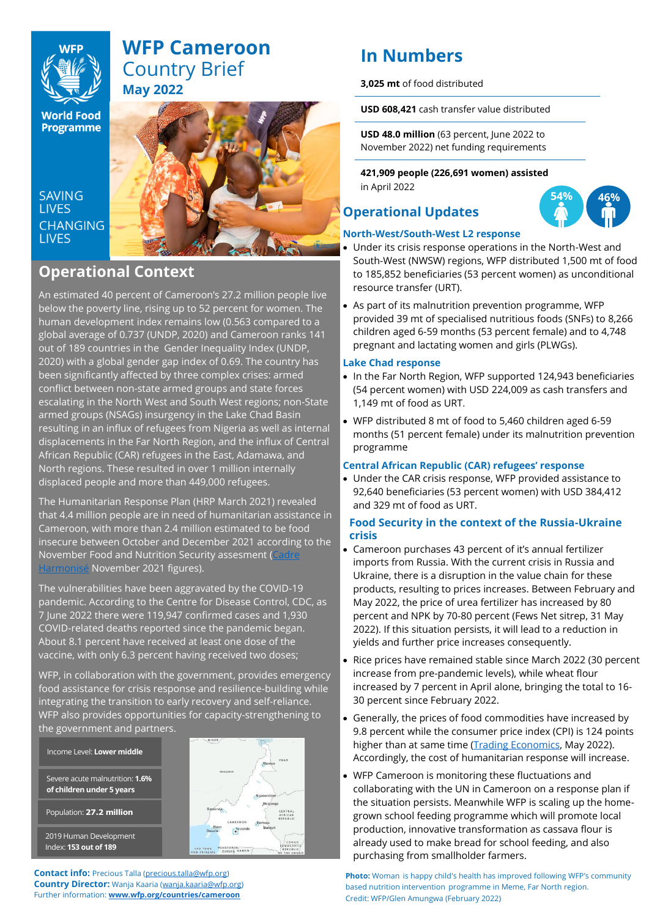

**World Food Programme** 

**SAVING LIVES CHANGING LIVES** 



## **Operational Context**

An estimated 40 percent of Cameroon's 27.2 million people live below the poverty line, rising up to 52 percent for women. The human development index remains low (0.563 compared to a global average of 0.737 (UNDP, 2020) and Cameroon ranks 141 out of 189 countries in the Gender Inequality Index (UNDP, 2020) with a global gender gap index of 0.69. The country has been significantly affected by three complex crises: armed conflict between non-state armed groups and state forces escalating in the North West and South West regions; non-State armed groups (NSAGs) insurgency in the Lake Chad Basin resulting in an influx of refugees from Nigeria as well as internal displacements in the Far North Region, and the influx of Central African Republic (CAR) refugees in the East, Adamawa, and North regions. These resulted in over 1 million internally displaced people and more than 449,000 refugees.

The Humanitarian Response Plan (HRP March 2021) revealed that 4.4 million people are in need of humanitarian assistance in Cameroon, with more than 2.4 million estimated to be food insecure between October and December 2021 according to the November Food and Nutrition Security assesment [\(Cadre](https://www.ipcinfo.org/ch)  [Harmonisé](https://www.ipcinfo.org/ch) November 2021 figures).

The vulnerabilities have been aggravated by the COVID-19 pandemic. According to the Centre for Disease Control, CDC, as 7 June 2022 there were 119,947 confirmed cases and 1,930 COVID-related deaths reported since the pandemic began. About 8.1 percent have received at least one dose of the vaccine, with only 6.3 percent having received two doses;

WFP, in collaboration with the government, provides emergency food assistance for crisis response and resilience-building while integrating the transition to early recovery and self-reliance. WFP also provides opportunities for capacity-strengthening to the government and partners.

Severe acute malnutrition: **1.6% of children under 5 years**  Population: **27.2 million** Income Level: **Lower middle**

2019 Human Development Index: **153 out of 189**



**Contact info:** Precious Talla [\(precious.talla@wfp.org\)](mailto:precious.talla@wfp.org) **Country Director:** Wanja Kaaria [\(wanja.kaaria@wfp.org\)](mailto:wanja.kaaria@wfp.org) Further information: **[www.wfp.org/countries/cameroon](http://www.wfp.org/countries/cameroon)**

# **In Numbers**

**3,025 mt** of food distributed

**USD 608,421** cash transfer value distributed

**USD 48.0 million** (63 percent, June 2022 to November 2022) net funding requirements

**421,909 people (226,691 women) assisted** in April 2022

## **Operational Updates**



## **North-West/South-West L2 response**

- Under its crisis response operations in the North-West and South-West (NWSW) regions, WFP distributed 1,500 mt of food to 185,852 beneficiaries (53 percent women) as unconditional resource transfer (URT).
- As part of its malnutrition prevention programme, WFP provided 39 mt of specialised nutritious foods (SNFs) to 8,266 children aged 6-59 months (53 percent female) and to 4,748 pregnant and lactating women and girls (PLWGs).

### **Lake Chad response**

- In the Far North Region, WFP supported 124,943 beneficiaries (54 percent women) with USD 224,009 as cash transfers and 1,149 mt of food as URT.
- WFP distributed 8 mt of food to 5,460 children aged 6-59 months (51 percent female) under its malnutrition prevention programme

## **Central African Republic (CAR) refugees' response**

• Under the CAR crisis response, WFP provided assistance to 92,640 beneficiaries (53 percent women) with USD 384,412 and 329 mt of food as URT.

## **Food Security in the context of the Russia-Ukraine crisis**

- Cameroon purchases 43 percent of it's annual fertilizer imports from Russia. With the current crisis in Russia and Ukraine, there is a disruption in the value chain for these products, resulting to prices increases. Between February and May 2022, the price of urea fertilizer has increased by 80 percent and NPK by 70-80 percent (Fews Net sitrep, 31 May 2022). If this situation persists, it will lead to a reduction in yields and further price increases consequently.
- Rice prices have remained stable since March 2022 (30 percent increase from pre-pandemic levels), while wheat flour increased by 7 percent in April alone, bringing the total to 16- 30 percent since February 2022.
- Generally, the prices of food commodities have increased by 9.8 percent while the consumer price index (CPI) is 124 points higher than at same time [\(Trading Economics,](https://tradingeconomics.com/cameroon/food-inflation) May 2022). Accordingly, the cost of humanitarian response will increase.
- WFP Cameroon is monitoring these fluctuations and collaborating with the UN in Cameroon on a response plan if the situation persists. Meanwhile WFP is scaling up the homegrown school feeding programme which will promote local production, innovative transformation as cassava flour is already used to make bread for school feeding, and also purchasing from smallholder farmers.

**Photo:** Woman is happy child's health has improved following WFP's community based nutrition intervention programme in Meme, Far North region. Credit: WFP/Glen Amungwa (February 2022)